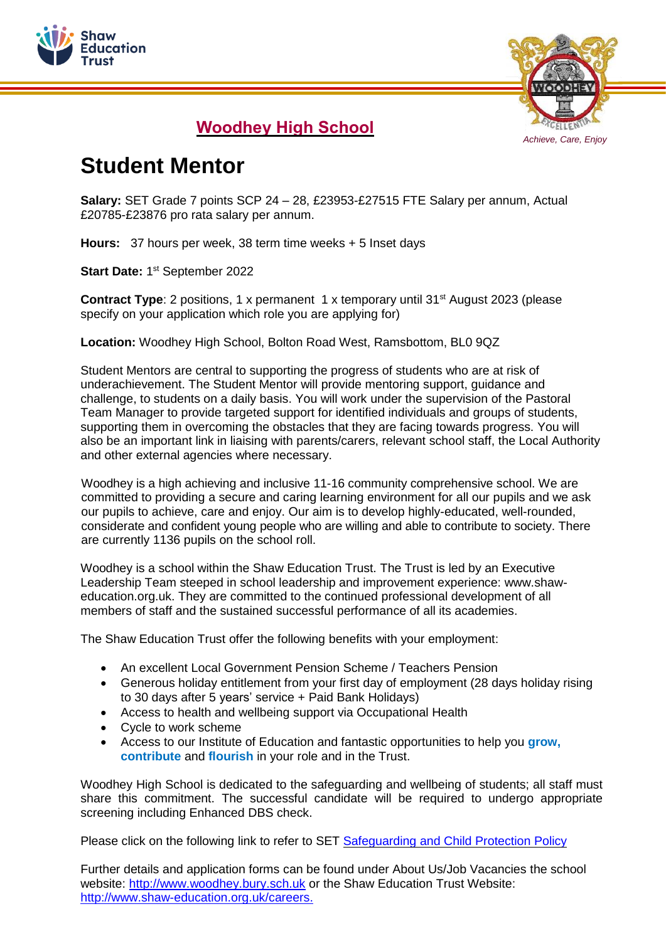



## **Woodhey High School**

## **Student Mentor**

**Salary:** SET Grade 7 points SCP 24 – 28, £23953-£27515 FTE Salary per annum, Actual £20785-£23876 pro rata salary per annum.

**Hours:** 37 hours per week, 38 term time weeks + 5 Inset days

Start Date: 1<sup>st</sup> September 2022

**Contract Type**: 2 positions, 1 x permanent 1 x temporary until 31<sup>st</sup> August 2023 (please specify on your application which role you are applying for)

**Location:** Woodhey High School, Bolton Road West, Ramsbottom, BL0 9QZ

Student Mentors are central to supporting the progress of students who are at risk of underachievement. The Student Mentor will provide mentoring support, guidance and challenge, to students on a daily basis. You will work under the supervision of the Pastoral Team Manager to provide targeted support for identified individuals and groups of students, supporting them in overcoming the obstacles that they are facing towards progress. You will also be an important link in liaising with parents/carers, relevant school staff, the Local Authority and other external agencies where necessary.

Woodhey is a high achieving and inclusive 11-16 community comprehensive school. We are committed to providing a secure and caring learning environment for all our pupils and we ask our pupils to achieve, care and enjoy. Our aim is to develop highly-educated, well-rounded, considerate and confident young people who are willing and able to contribute to society. There are currently 1136 pupils on the school roll.

Woodhey is a school within the Shaw Education Trust. The Trust is led by an Executive Leadership Team steeped in school leadership and improvement experience: www.shaweducation.org.uk. They are committed to the continued professional development of all members of staff and the sustained successful performance of all its academies.

The Shaw Education Trust offer the following benefits with your employment:

- An excellent Local Government Pension Scheme / Teachers Pension
- Generous holiday entitlement from your first day of employment (28 days holiday rising to 30 days after 5 years' service + Paid Bank Holidays)
- Access to health and wellbeing support via Occupational Health
- Cycle to work scheme
- Access to our Institute of Education and fantastic opportunities to help you **grow, contribute** and **flourish** in your role and in the Trust.

Woodhey High School is dedicated to the safeguarding and wellbeing of students; all staff must share this commitment. The successful candidate will be required to undergo appropriate screening including Enhanced DBS check.

Please click on the following link to refer to SET [Safeguarding](https://www.shaw-education.org.uk/uploads/policies/Education%20Policies/Safeguarding%20and%20Pupil%20Protection%20Policy%202020-21%20(FINAL)%20KSS.pdf) and Child Protection Policy

Further details and application forms can be found under About Us/Job Vacancies the school website: [http://www.woodhey.bury.sch.uk](http://www.woodhey.bury.sch.uk/) or the Shaw Education Trust Website: [http://www.shaw-education.org.uk/careers.](http://www.shaw-education.org.uk/careers)